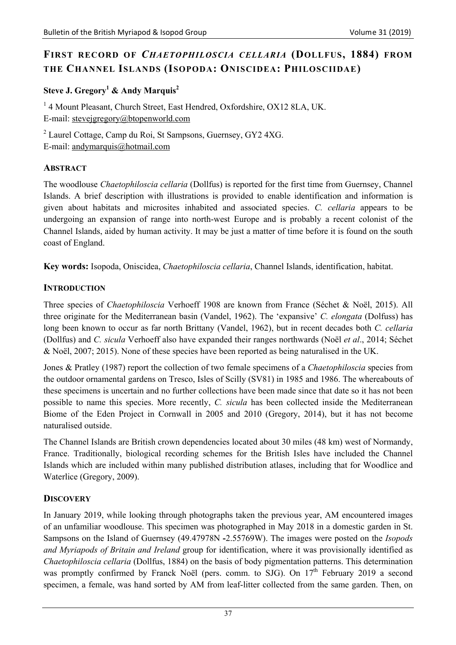# **FIRST RECORD OF** *CHAETOPHILOSCIA CELLARIA* **(DOLLFUS, 1884) FROM THE CHANNEL ISLANDS (ISOPODA: ONISCIDEA: PHILOSCIIDAE)**

## Steve J. Gregory<sup>1</sup> & Andy Marquis<sup>2</sup>

<sup>1</sup> 4 Mount Pleasant, Church Street, East Hendred, Oxfordshire, OX12 8LA, UK. E-mail: stevejgregory@btopenworld.com

<sup>2</sup> Laurel Cottage, Camp du Roi, St Sampsons, Guernsey, GY2 4XG. E-mail: andymarquis@hotmail.com

### **ABSTRACT**

The woodlouse *Chaetophiloscia cellaria* (Dollfus) is reported for the first time from Guernsey, Channel Islands. A brief description with illustrations is provided to enable identification and information is given about habitats and microsites inhabited and associated species. *C. cellaria* appears to be undergoing an expansion of range into north-west Europe and is probably a recent colonist of the Channel Islands, aided by human activity. It may be just a matter of time before it is found on the south coast of England.

**Key words:** Isopoda, Oniscidea, *Chaetophiloscia cellaria*, Channel Islands, identification, habitat.

## **INTRODUCTION**

Three species of *Chaetophiloscia* Verhoeff 1908 are known from France (Séchet & Noël, 2015). All three originate for the Mediterranean basin (Vandel, 1962). The 'expansive' *C. elongata* (Dolfuss) has long been known to occur as far north Brittany (Vandel, 1962), but in recent decades both *C. cellaria* (Dollfus) and *C. sicula* Verhoeff also have expanded their ranges northwards (Noël *et al*., 2014; Séchet & Noël, 2007; 2015). None of these species have been reported as being naturalised in the UK.

Jones & Pratley (1987) report the collection of two female specimens of a *Chaetophiloscia* species from the outdoor ornamental gardens on Tresco, Isles of Scilly (SV81) in 1985 and 1986. The whereabouts of these specimens is uncertain and no further collections have been made since that date so it has not been possible to name this species. More recently, *C. sicula* has been collected inside the Mediterranean Biome of the Eden Project in Cornwall in 2005 and 2010 (Gregory, 2014), but it has not become naturalised outside.

The Channel Islands are British crown dependencies located about 30 miles (48 km) west of Normandy, France. Traditionally, biological recording schemes for the British Isles have included the Channel Islands which are included within many published distribution atlases, including that for Woodlice and Waterlice (Gregory, 2009).

## **DISCOVERY**

In January 2019, while looking through photographs taken the previous year, AM encountered images of an unfamiliar woodlouse. This specimen was photographed in May 2018 in a domestic garden in St. Sampsons on the Island of Guernsey (49.47978N **-**2.55769W). The images were posted on the *Isopods and Myriapods of Britain and Ireland* group for identification, where it was provisionally identified as *Chaetophiloscia cellaria* (Dollfus, 1884) on the basis of body pigmentation patterns. This determination was promptly confirmed by Franck Noël (pers. comm. to SJG). On 17<sup>th</sup> February 2019 a second specimen, a female, was hand sorted by AM from leaf-litter collected from the same garden. Then, on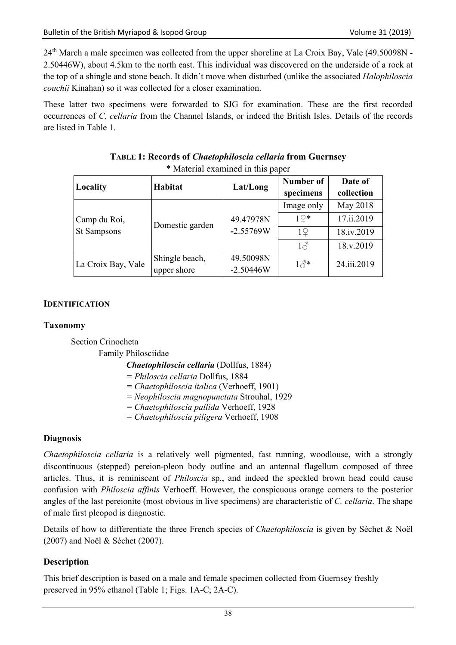$24<sup>th</sup>$  March a male specimen was collected from the upper shoreline at La Croix Bay, Vale (49.50098N -2.50446W), about 4.5km to the north east. This individual was discovered on the underside of a rock at the top of a shingle and stone beach. It didn't move when disturbed (unlike the associated *Halophiloscia couchii* Kinahan) so it was collected for a closer examination.

These latter two specimens were forwarded to SJG for examination. These are the first recorded occurrences of *C. cellaria* from the Channel Islands, or indeed the British Isles. Details of the records are listed in Table 1.

| Locality                    | Habitat         | Lat/Long                 | Number of<br>specimens | Date of<br>collection |
|-----------------------------|-----------------|--------------------------|------------------------|-----------------------|
| Camp du Roi,<br>St Sampsons | Domestic garden | 49.47978N<br>$-2.55769W$ | Image only             | May 2018              |
|                             |                 |                          | $1\Omega*$             | 17.ii.2019            |
|                             |                 |                          | 19                     | 18.iv.2019            |
|                             |                 |                          | $1\sigma$              | 18.v.2019             |
| La Croix Bay, Vale          | Shingle beach,  | 49.50098N                | $1\delta^*$            | 24.iii.2019           |
|                             | upper shore     | $-2.50446W$              |                        |                       |

**TABLE 1: Records of** *Chaetophiloscia cellaria* **from Guernsey**  \* Material examined in this paper

#### **IDENTIFICATION**

#### **Taxonomy**

Section Crinocheta

Family Philosciidae

#### *Chaetophiloscia cellaria* (Dollfus, 1884)

- *= Philoscia cellaria* Dollfus, 1884
- *= Chaetophiloscia italica* (Verhoeff, 1901)
- *= Neophiloscia magnopunctata* Strouhal, 1929
- *= Chaetophiloscia pallida* Verhoeff, 1928
- *= Chaetophiloscia piligera* Verhoeff, 1908

#### **Diagnosis**

*Chaetophiloscia cellaria* is a relatively well pigmented, fast running, woodlouse, with a strongly discontinuous (stepped) pereion-pleon body outline and an antennal flagellum composed of three articles. Thus, it is reminiscent of *Philoscia* sp., and indeed the speckled brown head could cause confusion with *Philoscia affinis* Verhoeff. However, the conspicuous orange corners to the posterior angles of the last pereionite (most obvious in live specimens) are characteristic of *C. cellaria*. The shape of male first pleopod is diagnostic.

Details of how to differentiate the three French species of *Chaetophiloscia* is given by Séchet & Noël (2007) and Noël & Séchet (2007).

## **Description**

This brief description is based on a male and female specimen collected from Guernsey freshly preserved in 95% ethanol (Table 1; Figs. 1A-C; 2A-C).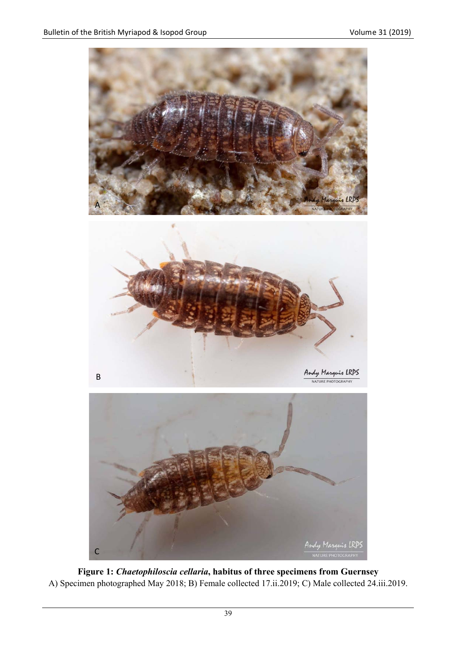

**Figure 1:** *Chaetophiloscia cellaria***, habitus of three specimens from Guernsey**  A) Specimen photographed May 2018; B) Female collected 17.ii.2019; C) Male collected 24.iii.2019.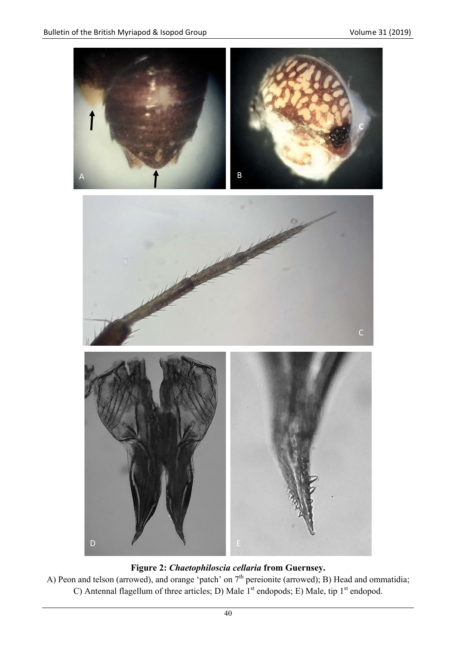

# **Figure 2:** *Chaetophiloscia cellaria* **from Guernsey.**

A) Peon and telson (arrowed), and orange 'patch' on  $7<sup>th</sup>$  pereionite (arrowed); B) Head and ommatidia; C) Antennal flagellum of three articles; D) Male  $1<sup>st</sup>$  endopods; E) Male, tip  $1<sup>st</sup>$  endopod.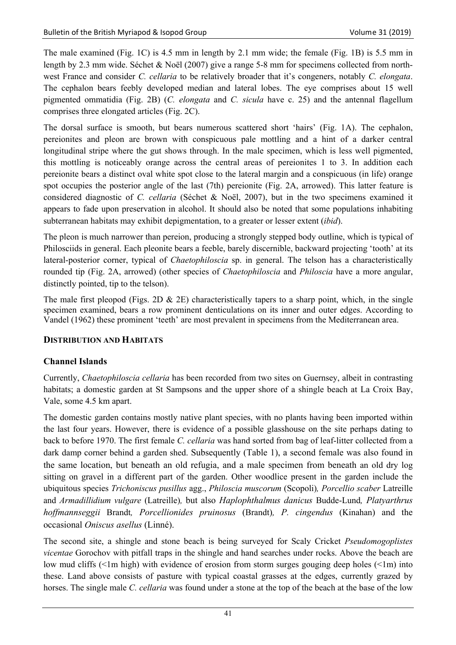The male examined (Fig. 1C) is 4.5 mm in length by 2.1 mm wide; the female (Fig. 1B) is 5.5 mm in length by 2.3 mm wide. Séchet & Noël (2007) give a range 5-8 mm for specimens collected from northwest France and consider *C. cellaria* to be relatively broader that it's congeners, notably *C. elongata*. The cephalon bears feebly developed median and lateral lobes. The eye comprises about 15 well pigmented ommatidia (Fig. 2B) (*C. elongata* and *C. sicula* have c. 25) and the antennal flagellum comprises three elongated articles (Fig. 2C).

The dorsal surface is smooth, but bears numerous scattered short 'hairs' (Fig. 1A). The cephalon, pereionites and pleon are brown with conspicuous pale mottling and a hint of a darker central longitudinal stripe where the gut shows through. In the male specimen, which is less well pigmented, this mottling is noticeably orange across the central areas of pereionites 1 to 3. In addition each pereionite bears a distinct oval white spot close to the lateral margin and a conspicuous (in life) orange spot occupies the posterior angle of the last (7th) pereionite (Fig. 2A, arrowed). This latter feature is considered diagnostic of *C. cellaria* (Séchet & Noël, 2007), but in the two specimens examined it appears to fade upon preservation in alcohol. It should also be noted that some populations inhabiting subterranean habitats may exhibit depigmentation, to a greater or lesser extent (*ibid*).

The pleon is much narrower than pereion, producing a strongly stepped body outline, which is typical of Philosciids in general. Each pleonite bears a feeble, barely discernible, backward projecting 'tooth' at its lateral-posterior corner, typical of *Chaetophiloscia* sp. in general. The telson has a characteristically rounded tip (Fig. 2A, arrowed) (other species of *Chaetophiloscia* and *Philoscia* have a more angular, distinctly pointed, tip to the telson).

The male first pleopod (Figs. 2D  $\&$  2E) characteristically tapers to a sharp point, which, in the single specimen examined, bears a row prominent denticulations on its inner and outer edges. According to Vandel (1962) these prominent 'teeth' are most prevalent in specimens from the Mediterranean area.

#### **DISTRIBUTION AND HABITATS**

#### **Channel Islands**

Currently, *Chaetophiloscia cellaria* has been recorded from two sites on Guernsey, albeit in contrasting habitats; a domestic garden at St Sampsons and the upper shore of a shingle beach at La Croix Bay, Vale, some 4.5 km apart.

The domestic garden contains mostly native plant species, with no plants having been imported within the last four years. However, there is evidence of a possible glasshouse on the site perhaps dating to back to before 1970. The first female *C. cellaria* was hand sorted from bag of leaf-litter collected from a dark damp corner behind a garden shed. Subsequently (Table 1), a second female was also found in the same location, but beneath an old refugia, and a male specimen from beneath an old dry log sitting on gravel in a different part of the garden. Other woodlice present in the garden include the ubiquitous species *Trichoniscus pusillus* agg., *Philoscia muscorum* (Scopoli)*, Porcellio scaber* Latreille and *Armadillidium vulgare* (Latreille)*,* but also *Haplophthalmus danicus* Budde-Lund*, Platyarthrus hoffmannseggii* Brandt*, Porcellionides pruinosus* (Brandt)*, P. cingendus* (Kinahan) and the occasional *Oniscus asellus* (Linné).

The second site, a shingle and stone beach is being surveyed for Scaly Cricket *Pseudomogoplistes vicentae* Gorochov with pitfall traps in the shingle and hand searches under rocks. Above the beach are low mud cliffs (<1m high) with evidence of erosion from storm surges gouging deep holes (<1m) into these. Land above consists of pasture with typical coastal grasses at the edges, currently grazed by horses. The single male *C. cellaria* was found under a stone at the top of the beach at the base of the low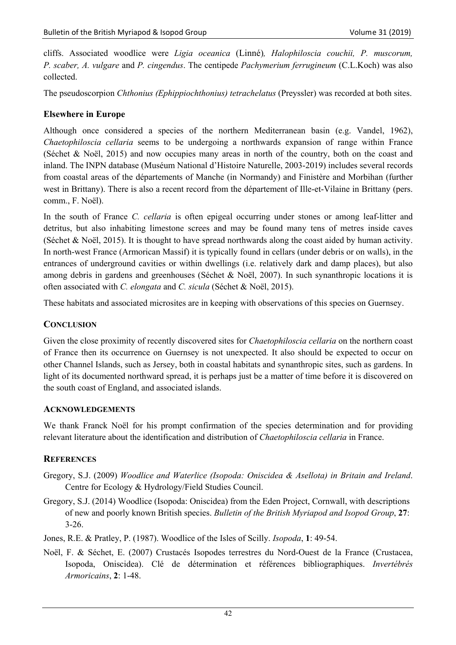cliffs. Associated woodlice were *Ligia oceanica* (Linné)*, Halophiloscia couchii, P. muscorum, P. scaber, A. vulgare* and *P. cingendus*. The centipede *Pachymerium ferrugineum* (C.L.Koch) was also collected.

The pseudoscorpion *Chthonius (Ephippiochthonius) tetrachelatus* (Preyssler) was recorded at both sites.

## **Elsewhere in Europe**

Although once considered a species of the northern Mediterranean basin (e.g. Vandel, 1962), *Chaetophiloscia cellaria* seems to be undergoing a northwards expansion of range within France (Séchet & Noël, 2015) and now occupies many areas in north of the country, both on the coast and inland. The INPN database (Muséum National d'Histoire Naturelle, 2003-2019) includes several records from coastal areas of the départements of Manche (in Normandy) and Finistère and Morbihan (further west in Brittany). There is also a recent record from the département of Ille-et-Vilaine in Brittany (pers. comm., F. Noël).

In the south of France *C. cellaria* is often epigeal occurring under stones or among leaf-litter and detritus, but also inhabiting limestone screes and may be found many tens of metres inside caves (Séchet & Noël, 2015). It is thought to have spread northwards along the coast aided by human activity. In north-west France (Armorican Massif) it is typically found in cellars (under debris or on walls), in the entrances of underground cavities or within dwellings (i.e. relatively dark and damp places), but also among debris in gardens and greenhouses (Séchet & Noël, 2007). In such synanthropic locations it is often associated with *C. elongata* and *C. sicula* (Séchet & Noël, 2015).

These habitats and associated microsites are in keeping with observations of this species on Guernsey.

## **CONCLUSION**

Given the close proximity of recently discovered sites for *Chaetophiloscia cellaria* on the northern coast of France then its occurrence on Guernsey is not unexpected. It also should be expected to occur on other Channel Islands, such as Jersey, both in coastal habitats and synanthropic sites, such as gardens. In light of its documented northward spread, it is perhaps just be a matter of time before it is discovered on the south coast of England, and associated islands.

## **ACKNOWLEDGEMENTS**

We thank Franck Noël for his prompt confirmation of the species determination and for providing relevant literature about the identification and distribution of *Chaetophiloscia cellaria* in France.

## **REFERENCES**

- Gregory, S.J. (2009) *Woodlice and Waterlice (Isopoda: Oniscidea & Asellota) in Britain and Ireland*. Centre for Ecology & Hydrology/Field Studies Council.
- Gregory, S.J. (2014) Woodlice (Isopoda: Oniscidea) from the Eden Project, Cornwall, with descriptions of new and poorly known British species. *Bulletin of the British Myriapod and Isopod Group*, **27**: 3-26.
- Jones, R.E. & Pratley, P. (1987). Woodlice of the Isles of Scilly. *Isopoda*, **1**: 49-54.
- Noël, F. & Séchet, E. (2007) Crustacés Isopodes terrestres du Nord-Ouest de la France (Crustacea, Isopoda, Oniscidea). Clé de détermination et références bibliographiques. *Invertébrés Armoricains*, **2**: 1-48.